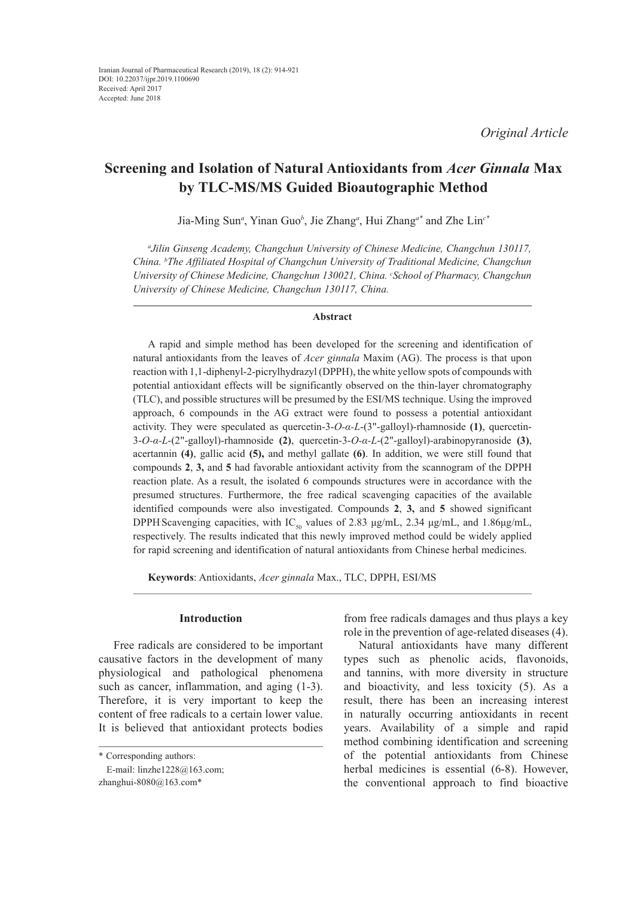# **Screening and Isolation of Natural Antioxidants from** *Acer Ginnala* **Max by TLC-MS/MS Guided Bioautographic Method**

Jia-Ming Sun*<sup>a</sup>* , Yinan Guo*<sup>b</sup>* , Jie Zhang*<sup>a</sup>* , Hui Zhang*a\** and Zhe Lin*c\**

*a Jilin Ginseng Academy, Changchun University of Chinese Medicine, Changchun 130117, China. b The Affiliated Hospital of Changchun University of Traditional Medicine, Changchun University of Chinese Medicine, Changchun 130021, China. c School of Pharmacy, Changchun University of Chinese Medicine, Changchun 130117, China.*

### **Abstract**

A rapid and simple method has been developed for the screening and identification of natural antioxidants from the leaves of *Acer ginnala* Maxim (AG). The process is that upon reaction with 1,1-diphenyl-2-picrylhydrazyl (DPPH), the white yellow spots of compounds with potential antioxidant effects will be significantly observed on the thin-layer chromatography (TLC), and possible structures will be presumed by the ESI/MS technique. Using the improved approach, 6 compounds in the AG extract were found to possess a potential antioxidant activity. They were speculated as quercetin-3-*O-α-L*-(3"-galloyl)-rhamnoside **(1)**, quercetin-3-*O-α-L*-(2"-galloyl)-rhamnoside **(2)**, quercetin-3-*O-α-L*-(2"-galloyl)-arabinopyranoside **(3)**, acertannin **(4)**, gallic acid **(5),** and methyl gallate **(6)**. In addition, we were still found that compounds **2**, **3,** and **5** had favorable antioxidant activity from the scannogram of the DPPH reaction plate. As a result, the isolated 6 compounds structures were in accordance with the presumed structures. Furthermore, the free radical scavenging capacities of the available identified compounds were also investigated. Compounds **2**, **3,** and **5** showed significant DPPH Scavenging capacities, with  $IC_{50}$  values of 2.83 μg/mL, 2.34 μg/mL, and 1.86μg/mL, respectively. The results indicated that this newly improved method could be widely applied for rapid screening and identification of natural antioxidants from Chinese herbal medicines.

**Keywords**: Antioxidants, *Acer ginnala* Max., TLC, DPPH, ESI/MS

#### **Introduction**

Free radicals are considered to be important causative factors in the development of many physiological and pathological phenomena such as cancer, inflammation, and aging (1-3). Therefore, it is very important to keep the content of free radicals to a certain lower value. It is believed that antioxidant protects bodies

from free radicals damages and thus plays a key role in the prevention of age-related diseases (4).

Natural antioxidants have many different types such as phenolic acids, flavonoids, and tannins, with more diversity in structure and bioactivity, and less toxicity (5). As a result, there has been an increasing interest in naturally occurring antioxidants in recent years. Availability of a simple and rapid method combining identification and screening of the potential antioxidants from Chinese herbal medicines is essential (6-8). However, the conventional approach to find bioactive

<sup>\*</sup> Corresponding authors:

E-mail: linzhe1228@163.com; zhanghui-8080@163.com\*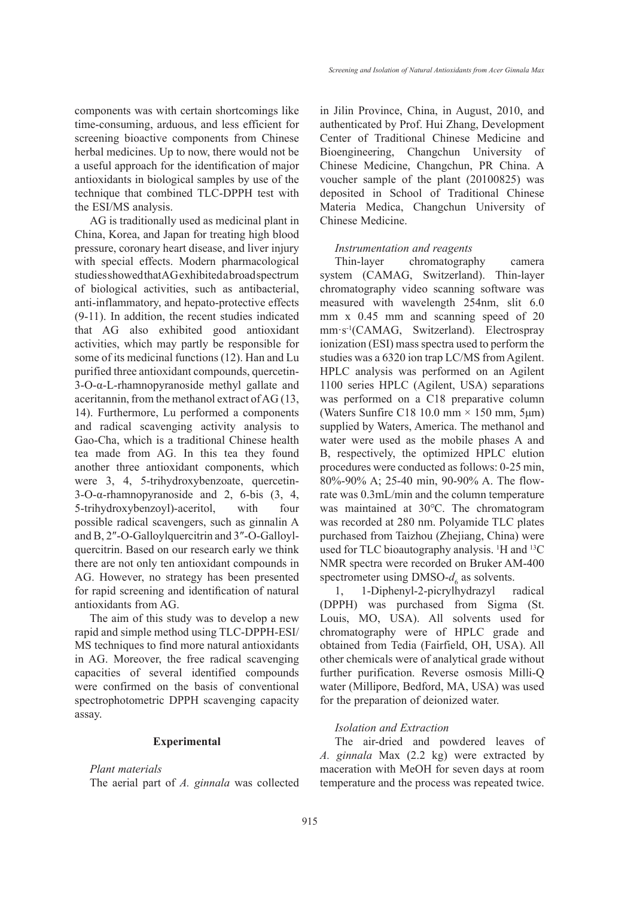components was with certain shortcomings like time-consuming, arduous, and less efficient for screening bioactive components from Chinese herbal medicines. Up to now, there would not be a useful approach for the identification of major antioxidants in biological samples by use of the technique that combined TLC-DPPH test with the ESI/MS analysis.

AG is traditionally used as medicinal plant in China, Korea, and Japan for treating high blood pressure, coronary heart disease, and liver injury with special effects. Modern pharmacological studies showed that AG exhibited a broad spectrum of biological activities, such as antibacterial, anti-inflammatory, and hepato-protective effects (9-11). In addition, the recent studies indicated that AG also exhibited good antioxidant activities, which may partly be responsible for some of its medicinal functions (12). Han and Lu purified three antioxidant compounds, quercetin-3-O-α-L-rhamnopyranoside methyl gallate and aceritannin, from the methanol extract of AG (13, 14). Furthermore, Lu performed a components and radical scavenging activity analysis to Gao-Cha, which is a traditional Chinese health tea made from AG. In this tea they found another three antioxidant components, which were 3, 4, 5-trihydroxybenzoate, quercetin- $3$ -O- $\alpha$ -rhamnopyranoside and 2, 6-bis  $(3, 4, 1)$ 5-trihydroxybenzoyl)-aceritol, with four possible radical scavengers, such as ginnalin A and B, 2″-O-Galloylquercitrin and 3″-O-Galloylquercitrin. Based on our research early we think there are not only ten antioxidant compounds in AG. However, no strategy has been presented for rapid screening and identification of natural antioxidants from AG.

The aim of this study was to develop a new rapid and simple method using TLC-DPPH-ESI/ MS techniques to find more natural antioxidants in AG. Moreover, the free radical scavenging capacities of several identified compounds were confirmed on the basis of conventional spectrophotometric DPPH scavenging capacity assay.

#### **Experimental**

## *Plant materials*

The aerial part of *A. ginnala* was collected

in Jilin Province, China, in August, 2010, and authenticated by Prof. Hui Zhang, Development Center of Traditional Chinese Medicine and Bioengineering, Changchun University of Chinese Medicine, Changchun, PR China. A voucher sample of the plant (20100825) was deposited in School of Traditional Chinese Materia Medica, Changchun University of Chinese Medicine.

#### *Instrumentation and reagents*

Thin-layer chromatography camera system (CAMAG, Switzerland). Thin-layer chromatography video scanning software was measured with wavelength 254nm, slit 6.0 mm x 0.45 mm and scanning speed of 20 mm·s-1(CAMAG, Switzerland). Electrospray ionization (ESI) mass spectra used to perform the studies was a 6320 ion trap LC/MS from Agilent. HPLC analysis was performed on an Agilent 1100 series HPLC (Agilent, USA) separations was performed on a C18 preparative column (Waters Sunfire C18 10.0 mm  $\times$  150 mm, 5 $\mu$ m) supplied by Waters, America. The methanol and water were used as the mobile phases A and B, respectively, the optimized HPLC elution procedures were conducted as follows: 0-25 min, 80%-90% A; 25-40 min, 90-90% A. The flowrate was 0.3mL/min and the column temperature was maintained at 30℃. The chromatogram was recorded at 280 nm. Polyamide TLC plates purchased from Taizhou (Zhejiang, China) were used for TLC bioautography analysis. <sup>1</sup>H and <sup>13</sup>C NMR spectra were recorded on Bruker AM-400 spectrometer using  $DMSO-d_6$  as solvents.

1, 1-Diphenyl-2-picrylhydrazyl radical (DPPH) was purchased from Sigma (St. Louis, MO, USA). All solvents used for chromatography were of HPLC grade and obtained from Tedia (Fairfield, OH, USA). All other chemicals were of analytical grade without further purification. Reverse osmosis Milli-Q water (Millipore, Bedford, MA, USA) was used for the preparation of deionized water.

## *Isolation and Extraction*

The air-dried and powdered leaves of *A. ginnala* Max (2.2 kg) were extracted by maceration with MeOH for seven days at room temperature and the process was repeated twice.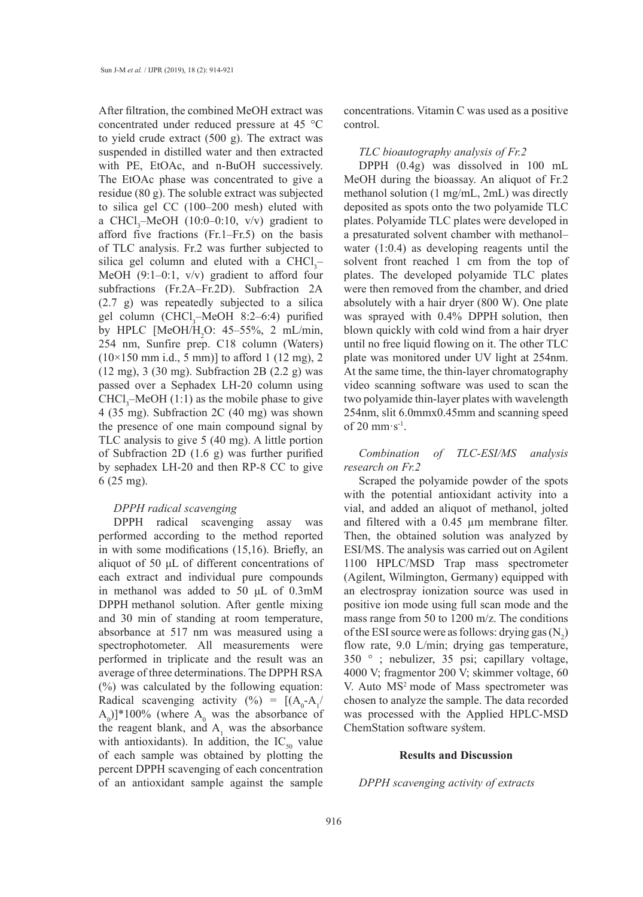After filtration, the combined MeOH extract was concentrated under reduced pressure at 45 °C to yield crude extract (500 g). The extract was suspended in distilled water and then extracted with PE, EtOAc, and n-BuOH successively. The EtOAc phase was concentrated to give a residue (80 g). The soluble extract was subjected to silica gel CC (100–200 mesh) eluted with a CHCl<sub>3</sub>-MeOH (10:0-0:10, v/v) gradient to afford five fractions (Fr.1–Fr.5) on the basis of TLC analysis. Fr.2 was further subjected to silica gel column and eluted with a  $CHCl<sub>3</sub>$ MeOH (9:1–0:1, v/v) gradient to afford four subfractions (Fr.2A–Fr.2D). Subfraction 2A (2.7 g) was repeatedly subjected to a silica gel column (CHCl<sub>3</sub>-MeOH 8:2-6:4) purified by HPLC [MeOH/H<sub>2</sub>O: 45–55%, 2 mL/min, 254 nm, Sunfire prep. C18 column (Waters)  $(10\times150 \text{ mm } \text{i.d., } 5 \text{ mm})]$  to afford 1 (12 mg), 2 (12 mg), 3 (30 mg). Subfraction 2B (2.2 g) was passed over a Sephadex LH-20 column using  $CHCl<sub>3</sub>$ -MeOH (1:1) as the mobile phase to give 4 (35 mg). Subfraction 2C (40 mg) was shown the presence of one main compound signal by TLC analysis to give 5 (40 mg). A little portion of Subfraction 2D (1.6 g) was further purified by sephadex LH-20 and then RP-8 CC to give 6 (25 mg).

### *DPPH radical scavenging*

DPPH radical scavenging assay was performed according to the method reported in with some modifications (15,16). Briefly, an aliquot of 50 μL of different concentrations of each extract and individual pure compounds in methanol was added to 50 μL of 0.3mM DPPH methanol solution. After gentle mixing and 30 min of standing at room temperature, absorbance at 517 nm was measured using a spectrophotometer. All measurements were performed in triplicate and the result was an average of three determinations. The DPPH RSA (%) was calculated by the following equation: Radical scavenging activity (%) = [(A0 -A1 /  $(A_0)$ <sup>\*</sup>100% (where  $A_0$  was the absorbance of the reagent blank, and  $A_1$  was the absorbance with antioxidants). In addition, the  $IC_{50}$  value of each sample was obtained by plotting the percent DPPH scavenging of each concentration of an antioxidant sample against the sample

concentrations. Vitamin C was used as a positive control.

#### *TLC bioautography analysis of Fr.2*

DPPH (0.4g) was dissolved in 100 mL MeOH during the bioassay. An aliquot of Fr.2 methanol solution (1 mg/mL, 2mL) was directly deposited as spots onto the two polyamide TLC plates. Polyamide TLC plates were developed in a presaturated solvent chamber with methanol– water (1:0.4) as developing reagents until the solvent front reached 1 cm from the top of plates. The developed polyamide TLC plates were then removed from the chamber, and dried absolutely with a hair dryer (800 W). One plate was sprayed with 0.4% DPPH solution, then blown quickly with cold wind from a hair dryer until no free liquid flowing on it. The other TLC plate was monitored under UV light at 254nm. At the same time, the thin-layer chromatography video scanning software was used to scan the two polyamide thin-layer plates with wavelength 254nm, slit 6.0mmx0.45mm and scanning speed of 20 mm·s-1.

*Combination of TLC-ESI/MS analysis research on Fr.2*

Scraped the polyamide powder of the spots with the potential antioxidant activity into a vial, and added an aliquot of methanol, jolted and filtered with a 0.45 µm membrane filter. Then, the obtained solution was analyzed by ESI/MS. The analysis was carried out on Agilent 1100 HPLC/MSD Trap mass spectrometer (Agilent, Wilmington, Germany) equipped with an electrospray ionization source was used in positive ion mode using full scan mode and the mass range from 50 to 1200 m/z. The conditions of the ESI source were as follows: drying gas  $(N_2)$ flow rate, 9.0 L/min; drying gas temperature, 350 ° ; nebulizer, 35 psi; capillary voltage, 4000 V; fragmentor 200 V; skimmer voltage, 60 V. Auto MS<sup>2</sup> mode of Mass spectrometer was chosen to analyze the sample. The data recorded was processed with the Applied HPLC-MSD ChemStation software system.

### **Results and Discussion**

*DPPH scavenging activity of extracts*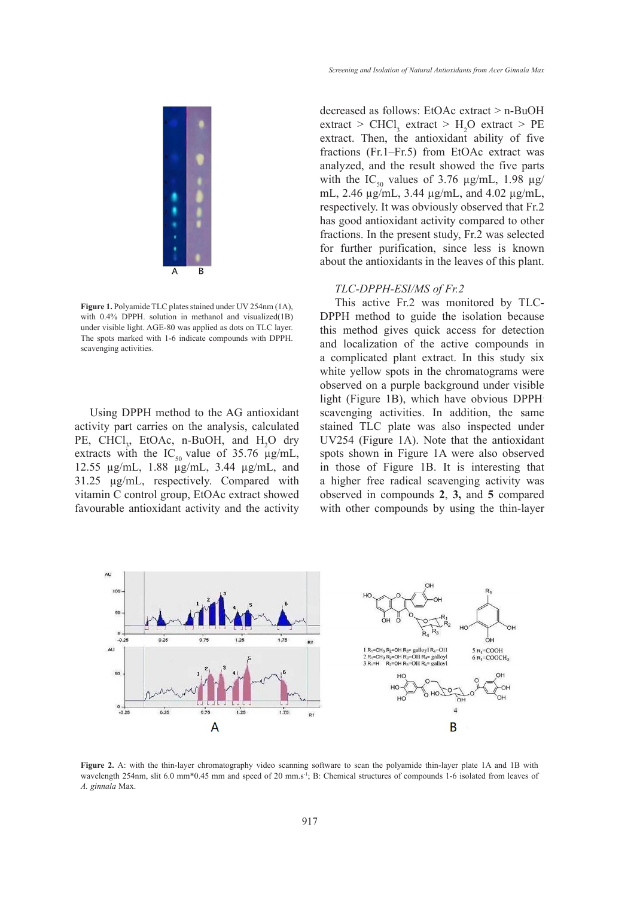

**Figure 1.** Polyamide TLC plates stained under UV 254nm (1A), **Initially** and visible light. And visible light of the light of the light of the light of the light of the light of the light of the light of the light of the with 0.4% DPPH. solution in methanol and visualized(1B) with 0.4% DFF11. Solution in includion and visualized (1B) DF1 IT Included under visible light. AGE-80 was applied as dots on TLC layer.  $\frac{1}{\pi}$  this method of The spots marked with 1-6 indicate compounds with DPPH. scavenging activities.

Using DPPH method to the AG antioxidant activity part carries on the analysis, calculated PE, CHCl<sub>3</sub>, EtOAc, n-BuOH, and  $H_2O$  dry extracts with the IC<sub>50</sub> value of 35.76  $\mu$ g/mL, 12.55 µg/mL, 1.88 µg/mL, 3.44 µg/mL, and 31.25 µg/mL, respectively. Compared with vitamin C control group, EtOAc extract showed favourable antioxidant activity and the activity

decreased as follows: EtOAc extract > n-BuOH  $\text{extract} > \text{CHCl}_3 \text{ extract} > H_2O \text{ extract} > PE$ extract. Then, the antioxidant ability of five fractions (Fr.1–Fr.5) from EtOAc extract was analyzed, and the result showed the five parts with the IC<sub>50</sub> values of 3.76  $\mu$ g/mL, 1.98  $\mu$ g/ mL, 2.46 µg/mL, 3.44 µg/mL, and 4.02 µg/mL, respectively. It was obviously observed that Fr.2 has good antioxidant activity compared to other fractions. In the present study, Fr.2 was selected for further purification, since less is known about the antioxidants in the leaves of this plant.

#### *TLC-DPPH-ESI/MS of Fr.2* **Figure 1**. Polyamide TLC plates stained under UV 254nm (1A), with 0.4% DPPH.

This active Fr.2 was monitored by TLC-DPPH method to guide the isolation because this method gives quick access for detection and localization of the active compounds in a complicated plant extract. In this study six white yellow spots in the chromatograms were observed on a purple background under visible light (Figure 1B), which have obvious DPPH. scavenging activities. In addition, the same stained TLC plate was also inspected under UV254 (Figure 1A). Note that the antioxidant spots shown in Figure 1A were also observed in those of Figure 1B. It is interesting that a higher free radical scavenging activity was observed in compounds **2**, **3,** and **5** compared with other compounds by using the thin-layer



**Figure 2.** A: with the thin-layer chromatography video scanning software to scan the polyamide thin-layer plate 1A and 1B with  $t_{minala}$  Max. wavelength 254nm, slit 6.0 mm\*0.45 mm and speed of 20 mm.s<sup>-1</sup>; B: Chemical structures of compounds 1-6 isolated from leaves of *A. ginnala* Max.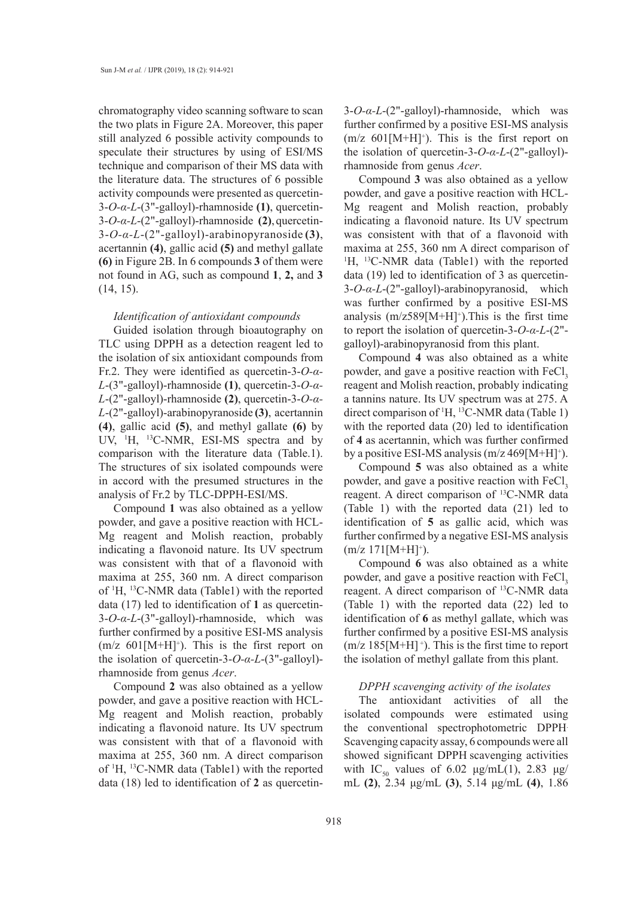chromatography video scanning software to scan the two plats in Figure 2A. Moreover, this paper still analyzed 6 possible activity compounds to speculate their structures by using of ESI/MS technique and comparison of their MS data with the literature data. The structures of 6 possible activity compounds were presented as quercetin-3-*O-α-L*-(3"-galloyl)-rhamnoside **(1)**, quercetin-3-*O-α-L*-(2"-galloyl)-rhamnoside **(2)**,quercetin-3-*O-α-L*-(2"-galloyl)-arabinopyranoside **(3)**, acertannin **(4)**, gallic acid **(5)** and methyl gallate **(6)** in Figure 2B. In 6 compounds **3** of them were not found in AG, such as compound **1**, **2,** and **3** (14, 15).

### *Identification of antioxidant compounds*

Guided isolation through bioautography on TLC using DPPH as a detection reagent led to the isolation of six antioxidant compounds from Fr.2. They were identified as quercetin-3-*O-α-L*-(3"-galloyl)-rhamnoside **(1)**, quercetin-3-*O-α-L*-(2"-galloyl)-rhamnoside **(2)**, quercetin-3-*O-α-L*-(2"-galloyl)-arabinopyranoside **(3)**, acertannin **(4)**, gallic acid **(5)**, and methyl gallate **(6)** by UV, <sup>1</sup>H, <sup>13</sup>C-NMR, ESI-MS spectra and by comparison with the literature data (Table.1). The structures of six isolated compounds were in accord with the presumed structures in the analysis of Fr.2 by TLC-DPPH-ESI/MS.

Compound **1** was also obtained as a yellow powder, and gave a positive reaction with HCL-Mg reagent and Molish reaction, probably indicating a flavonoid nature. Its UV spectrum was consistent with that of a flavonoid with maxima at 255, 360 nm. A direct comparison of 1 H, 13C-NMR data (Table1) with the reported data (17) led to identification of **1** as quercetin-3-*O-α-L*-(3"-galloyl)-rhamnoside, which was further confirmed by a positive ESI-MS analysis  $(m/z 601[M+H]^+$ ). This is the first report on the isolation of quercetin-3-*O-α-L*-(3"-galloyl) rhamnoside from genus *Acer*.

Compound **2** was also obtained as a yellow powder, and gave a positive reaction with HCL-Mg reagent and Molish reaction, probably indicating a flavonoid nature. Its UV spectrum was consistent with that of a flavonoid with maxima at 255, 360 nm. A direct comparison of 1 H, 13C-NMR data (Table1) with the reported data (18) led to identification of **2** as quercetin3-*O-α-L*-(2"-galloyl)-rhamnoside, which was further confirmed by a positive ESI-MS analysis  $(m/z 601[M+H]^+$ ). This is the first report on the isolation of quercetin-3-*O-α-L*-(2"-galloyl) rhamnoside from genus *Acer*.

Compound **3** was also obtained as a yellow powder, and gave a positive reaction with HCL-Mg reagent and Molish reaction, probably indicating a flavonoid nature. Its UV spectrum was consistent with that of a flavonoid with maxima at 255, 360 nm A direct comparison of <sup>1</sup>H, <sup>13</sup>C-NMR data (Table1) with the reported data (19) led to identification of 3 as quercetin-3-*O-α-L*-(2"-galloyl)-arabinopyranosid, which was further confirmed by a positive ESI-MS analysis  $(m/z589[M+H]^{\dagger})$ . This is the first time to report the isolation of quercetin-3-*O-α-L*-(2" galloyl)-arabinopyranosid from this plant.

Compound **4** was also obtained as a white powder, and gave a positive reaction with FeCl<sub>3</sub> reagent and Molish reaction, probably indicating a tannins nature. Its UV spectrum was at 275. A direct comparison of 1 H, 13C-NMR data (Table 1) with the reported data (20) led to identification of **4** as acertannin, which was further confirmed by a positive ESI-MS analysis  $(m/z 469[M+H]^+$ ).

Compound **5** was also obtained as a white powder, and gave a positive reaction with FeCl<sub>3</sub> reagent. A direct comparison of 13C-NMR data (Table 1) with the reported data (21) led to identification of **5** as gallic acid, which was further confirmed by a negative ESI-MS analysis  $(m/z 171[M+H]^+$ ).

Compound **6** was also obtained as a white powder, and gave a positive reaction with FeCl, reagent. A direct comparison of 13C-NMR data (Table 1) with the reported data (22) led to identification of **6** as methyl gallate, which was further confirmed by a positive ESI-MS analysis  $(m/z 185[M+H]$ <sup>+</sup>). This is the first time to report the isolation of methyl gallate from this plant.

### *DPPH scavenging activity of the isolates*

The antioxidant activities of all the isolated compounds were estimated using the conventional spectrophotometric DPPH. Scavenging capacity assay, 6 compounds were all showed significant DPPH scavenging activities with IC<sub>50</sub> values of 6.02  $\mu$ g/mL(1), 2.83  $\mu$ g/ mL **(2)**, 2.34 μg/mL **(3)**, 5.14 μg/mL **(4)**, 1.86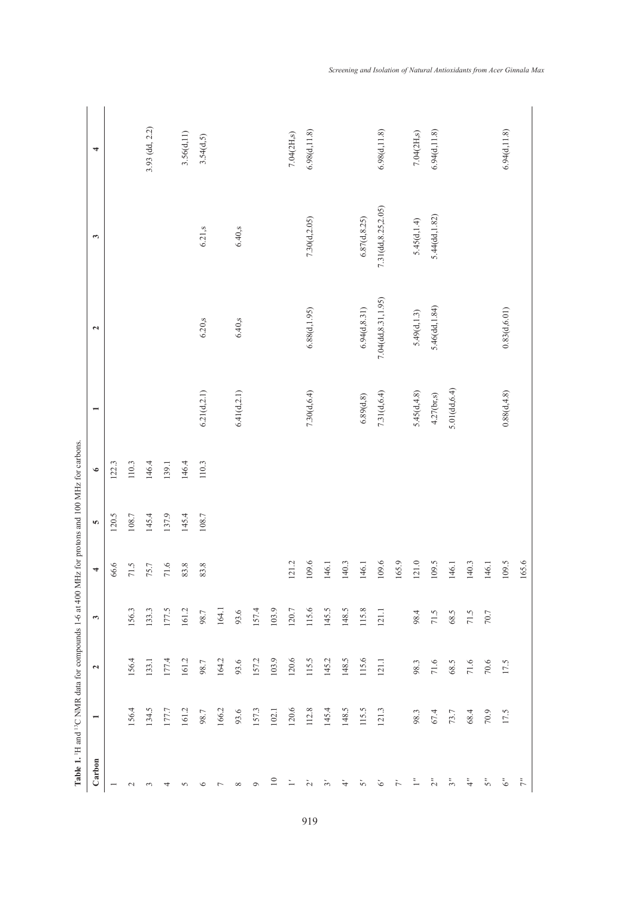|                                                                                                                            | 4                        |                          |           | 3.93 (dd, 2.2) |         | 3.56(d,11) | 3.54(d,5)    |                |              |         |                 | 7.04(2H,s) | 6.98(d, 11.8) |             |           |               | 6.98(d, 11.8)        |       | 7.04(2H,s)   | 6.94(d, 11.8)  |                     |       |          | 6.94(d, 11.8) |                |
|----------------------------------------------------------------------------------------------------------------------------|--------------------------|--------------------------|-----------|----------------|---------|------------|--------------|----------------|--------------|---------|-----------------|------------|---------------|-------------|-----------|---------------|----------------------|-------|--------------|----------------|---------------------|-------|----------|---------------|----------------|
|                                                                                                                            | 3                        |                          |           |                |         |            | 6.21,s       |                | 6.40, s      |         |                 |            | 7.30(d, 2.05) |             |           | 6.87(d, 8.25) | 7.31(dd, 8.25, 2.05) |       | 5.45(d, 1.4) | 5.44(dd, 1.82) |                     |       |          |               |                |
|                                                                                                                            | $\overline{\mathbf{c}}$  |                          |           |                |         |            | 6.20, s      |                | 6.40, s      |         |                 |            | 6.88(d, 1.95) |             |           | 6.94(d, 8.31) | 7.04(dd, 8.31, 1.95) |       | 5.49(d, 1.3) | 5.46(dd, 1.84) |                     |       |          | 0.83(d, 6.01) |                |
|                                                                                                                            | $\overline{ }$           |                          |           |                |         |            | 6.21(d, 2.1) |                | 6.41(d, 2.1) |         |                 |            | 7.30( d. 6.4) |             |           | 6.89(d, 8)    | 7.31(d, 6.4)         |       | 5.45(d, 4.8) | 4.27(br,s)     | $5.01$ (dd, $6.4$ ) |       |          | 0.88(d, 4.8)  |                |
|                                                                                                                            | $\bullet$                | 122.3                    | 110.3     | 146.4          | 139.1   | 146.4      | 110.3        |                |              |         |                 |            |               |             |           |               |                      |       |              |                |                     |       |          |               |                |
| Hz for protons and 100 MHz for carbons.<br>Table 1. <sup>1</sup> H and <sup>13</sup> C NMR data for compounds 1-6 at 400 M | Ю                        | $120.5$                  | $108.7\,$ | 145.4          | 137.9   | 145.4      | 108.7        |                |              |         |                 |            |               |             |           |               |                      |       |              |                |                     |       |          |               |                |
|                                                                                                                            | 4                        | 66.6                     | 71.5      | 75.7           | $71.6$  | 83.8       | 83.8         |                |              |         |                 | 121.2      | 109.6         | 146.1       | 140.3     | 146.1         | 109.6                | 165.9 | 121.0        | 109.5          | 146.1               | 140.3 | 146.1    | 109.5         | 165.6          |
|                                                                                                                            | $\mathbf{c}$             |                          | 156.3     | 133.3          | 177.5   | 161.2      | 98.7         | 164.1          | 93.6         | 157.4   | 103.9           | $120.7\,$  | 115.6         | 145.5       | 148.5     | 115.8         | 121.1                |       | 98.4         | 71.5           | 68.5                | 71.5  | 70.7     |               |                |
|                                                                                                                            | $\mathbf{z}$             |                          | 156.4     | 133.1          | 177.4   | 161.2      | 98.7         | 164.2          | 93.6         | 157.2   | 103.9           | 120.6      | 115.5         | 145.2       | 148.5     | 115.6         | 121.1                |       | 98.3         | 71.6           | 68.5                | 71.6  | $70.6\,$ | 17.5          |                |
|                                                                                                                            | $\overline{\phantom{0}}$ |                          | 156.4     | 134.5          | $177.7$ | 161.2      | 98.7         | 166.2          | 93.6         | 157.3   | 102.1           | 120.6      | 112.8         | 145.4       | 148.5     | 115.5         | ن<br>121.            |       | 98.3         | 67.4           | 73.7                | 68.4  | 70.9     | 17.5          |                |
|                                                                                                                            | Carbon                   | $\overline{\phantom{0}}$ | $\sim$    | $\sim$         | ෑ       | 5          | ৩            | $\overline{ }$ | $\infty$     | $\circ$ | $\overline{10}$ | ≒          | Ń             | $\tilde{c}$ | $\dot{r}$ | Š,            | ত                    | ト     | ≒            | $\tilde{\sim}$ | $\tilde{5}$         | ₹     | Š,       | উ             | $\tilde{\tau}$ |

919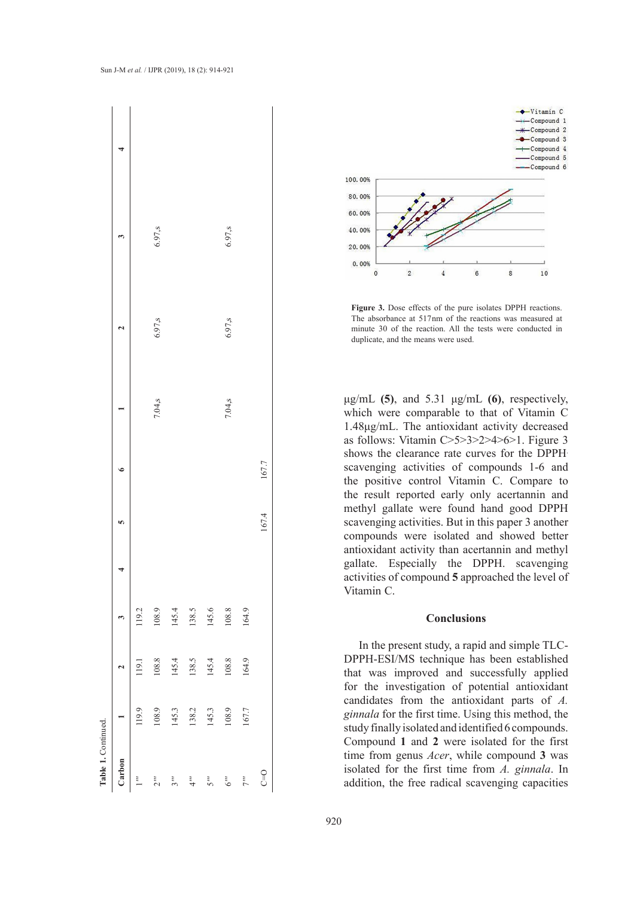



**Figure 3.** Dose effects of the pure isolates DPPH reactions. minute 30 of the reaction. All the tests were conducted in duplicate and the means were used.  $\frac{1}{\sqrt{2}}$  this method, the study finally isolated and identified 6 compounds. The absorbance at  $517nm$  of the reactions was measured at  $\frac{1}{10}$ duplicate, and the means were used.

 $μg/mL$  **(5)**, and 5.31  $μg/mL$  **(6)**, respectively, which were comparable to that of Vitamin C 1.48µg/mL. The antioxidant activity decreased as follows: Vitamin  $C>5>3>2>4>6>1$ . Figure 3 shows the clearance rate curves for the DPPH<sup>.</sup> scavenging activities of compounds 1-6 and the positive control Vitamin C. Compare to the result reported early only acertannin and the result reported early only acertannin and methyl gallate were found hand good DPPH. scavenging activities. But in this paper 3 another compounds were isolated and showed better antioxidant activity than acertannin and methyl gallate. Especially the DPPH. scavenging activities of compound **5** approached the level of Vitamin C.  $T_{\text{H}}$  funds of  $T_{\text{H}}$  and  $T_{\text{H}}$  and  $T_{\text{H}}$  and  $T_{\text{H}}$  and  $T_{\text{H}}$  and  $T_{\text{H}}$  and  $T_{\text{H}}$  and  $T_{\text{H}}$  and  $T_{\text{H}}$  and  $T_{\text{H}}$  and  $T_{\text{H}}$  and  $T_{\text{H}}$  and  $T_{\text{H}}$  and  $T_{\text{H}}$  and  $T_{\text{$ established that was interested and successfully applied for the investigation of the investigation of the investigation of the investigation of the investigation of the investigation of the investigation of the investiga

#### **Conclusions**  $Conclusions$

In the present study, a rapid and simple TLC-DPPH-ESI/MS technique has been established that was improved and successfully applied for the investigation of potential antioxidant candidates from the antioxidant parts of *A*. ginnala for the first time. Using this method, the study finally isolated and identified 6 compounds. Compound **1** and **2** were isolated for the first time from genus *Acer*, while compound **3** was isolated for the first time from *A. ginnala*. In addition, the free radical scavenging capacities In the present study a rapid and simple TI C<sub>-</sub>